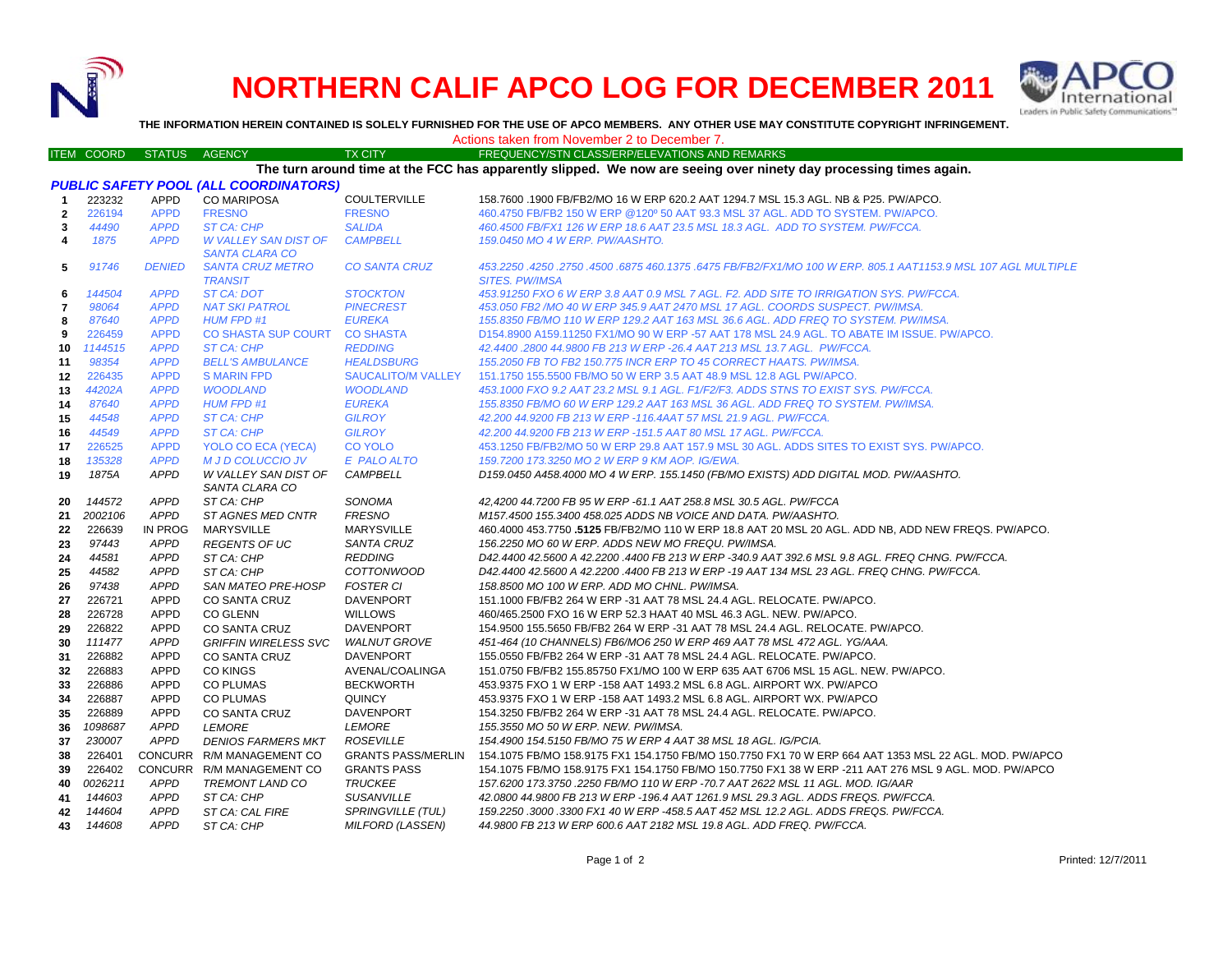

## **NORTHERN CALIF APCO LOG FOR DECEMBER 2011**



**THE INFORMATION HEREIN CONTAINED IS SOLELY FURNISHED FOR THE USE OF APCO MEMBERS. ANY OTHER USE MAY CONSTITUTE COPYRIGHT INFRINGEMENT.**

|            |               |               |         | Actions taken from November 2 to December 7.   |
|------------|---------------|---------------|---------|------------------------------------------------|
| ITEM COORD | <b>STATUS</b> | <b>AGENCY</b> | TX CITY | FREQUENCY/STN CLASS/ERP/ELEVATIONS AND REMARKS |

| The turn around time at the FCC has apparently slipped. We now are seeing over ninety day processing times again. |                                              |                |                                                      |                           |                                                                                                                                         |  |  |  |  |  |
|-------------------------------------------------------------------------------------------------------------------|----------------------------------------------|----------------|------------------------------------------------------|---------------------------|-----------------------------------------------------------------------------------------------------------------------------------------|--|--|--|--|--|
|                                                                                                                   | <b>PUBLIC SAFETY POOL (ALL COORDINATORS)</b> |                |                                                      |                           |                                                                                                                                         |  |  |  |  |  |
| -1                                                                                                                | 223232                                       | <b>APPD</b>    | <b>CO MARIPOSA</b>                                   | <b>COULTERVILLE</b>       | 158.7600 .1900 FB/FB2/MO 16 W ERP 620.2 AAT 1294.7 MSL 15.3 AGL. NB & P25. PW/APCO.                                                     |  |  |  |  |  |
| $\overline{2}$                                                                                                    | 226194                                       | <b>APPD</b>    | <b>FRESNO</b>                                        | <b>FRESNO</b>             | 460.4750 FB/FB2 150 W ERP @120° 50 AAT 93.3 MSL 37 AGL, ADD TO SYSTEM, PW/APCO,                                                         |  |  |  |  |  |
| 3                                                                                                                 | 44490                                        | <b>APPD</b>    | ST CA: CHP                                           | <b>SALIDA</b>             | 460.4500 FB/FX1 126 W ERP 18.6 AAT 23.5 MSL 18.3 AGL. ADD TO SYSTEM. PW/FCCA.                                                           |  |  |  |  |  |
| 4                                                                                                                 | 1875                                         | <b>APPD</b>    | <b>W VALLEY SAN DIST OF</b><br><b>SANTA CLARA CO</b> | <b>CAMPBELL</b>           | 159.0450 MO 4 W ERP. PW/AASHTO.                                                                                                         |  |  |  |  |  |
| 5                                                                                                                 | 91746                                        | <b>DENIED</b>  | <b>SANTA CRUZ METRO</b><br><b>TRANSIT</b>            | <b>CO SANTA CRUZ</b>      | 453.2250 .4250 .2750 .4500 .6875 460 .1375 .6475 FB/FB2/FX1/MO 100 W ERP. 805.1 AAT1153.9 MSL 107 AGL MULTIPLE<br><b>SITES. PW/IMSA</b> |  |  |  |  |  |
| 6                                                                                                                 | 144504                                       | <b>APPD</b>    | <b>ST CA: DOT</b>                                    | <b>STOCKTON</b>           | 453.91250 FXO 6 W ERP 3.8 AAT 0.9 MSL 7 AGL. F2. ADD SITE TO IRRIGATION SYS. PW/FCCA.                                                   |  |  |  |  |  |
| 7                                                                                                                 | 98064                                        | <b>APPD</b>    | <b>NAT SKI PATROL</b>                                | <b>PINECREST</b>          | 453.050 FB2 /MO 40 W ERP 345.9 AAT 2470 MSL 17 AGL. COORDS SUSPECT. PW/IMSA.                                                            |  |  |  |  |  |
| 8                                                                                                                 | 87640                                        | <b>APPD</b>    | <b>HUM FPD #1</b>                                    | <b>EUREKA</b>             | 155.8350 FB/MO 110 W ERP 129.2 AAT 163 MSL 36.6 AGL. ADD FREQ TO SYSTEM. PW/IMSA.                                                       |  |  |  |  |  |
| 9                                                                                                                 | 226459                                       | <b>APPD</b>    | <b>CO SHASTA SUP COURT</b>                           | <b>CO SHASTA</b>          | D154.8900 A159.11250 FX1/MO 90 W ERP -57 AAT 178 MSL 24.9 AGL. TO ABATE IM ISSUE. PW/APCO.                                              |  |  |  |  |  |
| 10                                                                                                                | 1144515                                      | <b>APPD</b>    | <b>ST CA: CHP</b>                                    | <b>REDDING</b>            | 42.4400.2800 44.9800 FB 213 W ERP -26.4 AAT 213 MSL 13.7 AGL. PW/FCCA.                                                                  |  |  |  |  |  |
| 11                                                                                                                | 98354                                        | <b>APPD</b>    | <b>BELL'S AMBULANCE</b>                              | <b>HEALDSBURG</b>         | 155.2050 FB TO FB2 150.775 INCR ERP TO 45 CORRECT HAATS. PW/IMSA.                                                                       |  |  |  |  |  |
| 12                                                                                                                | 226435                                       | <b>APPD</b>    | <b>S MARIN FPD</b>                                   | <b>SAUCALITO/M VALLEY</b> | 151.1750 155.5500 FB/MO 50 W ERP 3.5 AAT 48.9 MSL 12.8 AGL PW/APCO.                                                                     |  |  |  |  |  |
|                                                                                                                   | 44202A                                       | <b>APPD</b>    | <b>WOODLAND</b>                                      | <b>WOODLAND</b>           | 453.1000 FXO 9.2 AAT 23.2 MSL 9.1 AGL. F1/F2/F3. ADDS STNS TO EXIST SYS. PW/FCCA.                                                       |  |  |  |  |  |
| 13                                                                                                                | 87640                                        | <b>APPD</b>    |                                                      |                           |                                                                                                                                         |  |  |  |  |  |
| 14                                                                                                                |                                              |                | <b>HUM FPD #1</b>                                    | <b>EUREKA</b>             | 155.8350 FB/MO 60 W ERP 129.2 AAT 163 MSL 36 AGL. ADD FREQ TO SYSTEM. PW/IMSA.                                                          |  |  |  |  |  |
| 15                                                                                                                | 44548                                        | <b>APPD</b>    | <b>ST CA: CHP</b>                                    | <b>GILROY</b>             | 42.200 44.9200 FB 213 W ERP -116.4AAT 57 MSL 21.9 AGL. PW/FCCA.                                                                         |  |  |  |  |  |
| 16                                                                                                                | 44549                                        | <b>APPD</b>    | ST CA: CHP                                           | <b>GILROY</b>             | 42.200 44.9200 FB 213 W ERP -151.5 AAT 80 MSL 17 AGL. PW/FCCA.                                                                          |  |  |  |  |  |
| 17                                                                                                                | 226525                                       | <b>APPD</b>    | YOLO CO ECA (YECA)                                   | <b>CO YOLO</b>            | 453.1250 FB/FB2/MO 50 W ERP 29.8 AAT 157.9 MSL 30 AGL. ADDS SITES TO EXIST SYS. PW/APCO.                                                |  |  |  |  |  |
| 18                                                                                                                | 135328                                       | <b>APPD</b>    | <b>M J D COLUCCIO JV</b>                             | E PALO ALTO               | 159.7200 173.3250 MO 2 W ERP 9 KM AOP. IG/EWA.                                                                                          |  |  |  |  |  |
| 19                                                                                                                | 1875A                                        | <b>APPD</b>    | W VALLEY SAN DIST OF<br>SANTA CLARA CO               | <b>CAMPBELL</b>           | D159.0450 A458.4000 MO 4 W ERP. 155.1450 (FB/MO EXISTS) ADD DIGITAL MOD. PW/AASHTO.                                                     |  |  |  |  |  |
| 20                                                                                                                | 144572                                       | <b>APPD</b>    | ST CA: CHP                                           | SONOMA                    | 42,4200 44.7200 FB 95 W ERP -61.1 AAT 258.8 MSL 30.5 AGL. PW/FCCA                                                                       |  |  |  |  |  |
| 21                                                                                                                | 2002106                                      | <b>APPD</b>    | ST AGNES MED CNTR                                    | <b>FRESNO</b>             | M157.4500 155.3400 458.025 ADDS NB VOICE AND DATA. PW/AASHTO.                                                                           |  |  |  |  |  |
| 22                                                                                                                | 226639                                       | IN PROG        | <b>MARYSVILLE</b>                                    | <b>MARYSVILLE</b>         | 460.4000 453.7750 .5125 FB/FB2/MO 110 W ERP 18.8 AAT 20 MSL 20 AGL. ADD NB, ADD NEW FREQS. PW/APCO.                                     |  |  |  |  |  |
| 23                                                                                                                | 97443                                        | <b>APPD</b>    | <b>REGENTS OF UC</b>                                 | <b>SANTA CRUZ</b>         | 156.2250 MO 60 W ERP. ADDS NEW MO FREQU. PW/IMSA.                                                                                       |  |  |  |  |  |
| 24                                                                                                                | 44581                                        | <b>APPD</b>    | ST CA: CHP                                           | <b>REDDING</b>            | D42.4400 42.5600 A 42.2200 .4400 FB 213 W ERP -340.9 AAT 392.6 MSL 9.8 AGL. FREQ CHNG. PW/FCCA.                                         |  |  |  |  |  |
| 25                                                                                                                | 44582                                        | <b>APPD</b>    | ST CA: CHP                                           | <b>COTTONWOOD</b>         | D42.4400 42.5600 A 42.2200 .4400 FB 213 W ERP -19 AAT 134 MSL 23 AGL. FREQ CHNG. PW/FCCA.                                               |  |  |  |  |  |
| 26                                                                                                                | 97438                                        | <b>APPD</b>    | SAN MATEO PRE-HOSP                                   | <b>FOSTER CI</b>          | 158.8500 MO 100 W ERP. ADD MO CHNL. PW/IMSA.                                                                                            |  |  |  |  |  |
| 27                                                                                                                | 226721                                       | <b>APPD</b>    | <b>CO SANTA CRUZ</b>                                 | <b>DAVENPORT</b>          | 151.1000 FB/FB2 264 W ERP -31 AAT 78 MSL 24.4 AGL. RELOCATE. PW/APCO.                                                                   |  |  |  |  |  |
| 28                                                                                                                | 226728                                       | <b>APPD</b>    | <b>CO GLENN</b>                                      | <b>WILLOWS</b>            | 460/465.2500 FXO 16 W ERP 52.3 HAAT 40 MSL 46.3 AGL. NEW. PW/APCO.                                                                      |  |  |  |  |  |
| 29                                                                                                                | 226822                                       | <b>APPD</b>    | <b>CO SANTA CRUZ</b>                                 | <b>DAVENPORT</b>          | 154.9500 155.5650 FB/FB2 264 W ERP -31 AAT 78 MSL 24.4 AGL. RELOCATE. PW/APCO.                                                          |  |  |  |  |  |
| 30                                                                                                                | 111477                                       | <b>APPD</b>    | <b>GRIFFIN WIRELESS SVC</b>                          | <b>WALNUT GROVE</b>       | 451-464 (10 CHANNELS) FB6/MO6 250 W ERP 469 AAT 78 MSL 472 AGL. YG/AAA.                                                                 |  |  |  |  |  |
| 31                                                                                                                | 226882                                       | <b>APPD</b>    | <b>CO SANTA CRUZ</b>                                 | <b>DAVENPORT</b>          | 155.0550 FB/FB2 264 W ERP -31 AAT 78 MSL 24.4 AGL. RELOCATE. PW/APCO.                                                                   |  |  |  |  |  |
| 32                                                                                                                | 226883                                       | <b>APPD</b>    | <b>CO KINGS</b>                                      | AVENAL/COALINGA           | 151.0750 FB/FB2 155.85750 FX1/MO 100 W ERP 635 AAT 6706 MSL 15 AGL. NEW. PW/APCO.                                                       |  |  |  |  |  |
| 33                                                                                                                | 226886                                       | <b>APPD</b>    | <b>CO PLUMAS</b>                                     | <b>BECKWORTH</b>          | 453.9375 FXO 1 W ERP -158 AAT 1493.2 MSL 6.8 AGL. AIRPORT WX. PW/APCO                                                                   |  |  |  |  |  |
| 34                                                                                                                | 226887                                       | <b>APPD</b>    | <b>CO PLUMAS</b>                                     | <b>QUINCY</b>             | 453.9375 FXO 1 W ERP -158 AAT 1493.2 MSL 6.8 AGL. AIRPORT WX. PW/APCO                                                                   |  |  |  |  |  |
| 35                                                                                                                | 226889                                       | <b>APPD</b>    | CO SANTA CRUZ                                        | DAVENPORT                 | 154.3250 FB/FB2 264 W ERP -31 AAT 78 MSL 24.4 AGL. RELOCATE. PW/APCO.                                                                   |  |  |  |  |  |
| 36                                                                                                                | 1098687                                      | <b>APPD</b>    | <b>LEMORE</b>                                        | <b>LEMORE</b>             | 155.3550 MO 50 W ERP. NEW. PW/IMSA.                                                                                                     |  |  |  |  |  |
| 37                                                                                                                | 230007                                       | <b>APPD</b>    | <b>DENIOS FARMERS MKT</b>                            | <b>ROSEVILLE</b>          | 154.4900 154.5150 FB/MO 75 W ERP 4 AAT 38 MSL 18 AGL. IG/PCIA.                                                                          |  |  |  |  |  |
| 38                                                                                                                | 226401                                       |                | CONCURR R/M MANAGEMENT CO                            | <b>GRANTS PASS/MERLIN</b> | 154.1075 FB/MO 158.9175 FX1 154.1750 FB/MO 150.7750 FX1 70 W ERP 664 AAT 1353 MSL 22 AGL. MOD. PW/APCO                                  |  |  |  |  |  |
| 39                                                                                                                | 226402                                       | <b>CONCURR</b> | R/M MANAGEMENT CO                                    | <b>GRANTS PASS</b>        | 154.1075 FB/MO 158.9175 FX1 154.1750 FB/MO 150.7750 FX1 38 W ERP -211 AAT 276 MSL 9 AGL. MOD. PW/APCO                                   |  |  |  |  |  |
| 40                                                                                                                | 0026211                                      | <b>APPD</b>    | <b>TREMONT LAND CO</b>                               | <b>TRUCKEE</b>            | 157.6200 173.3750 .2250 FB/MO 110 W ERP -70.7 AAT 2622 MSL 11 AGL. MOD. IG/AAR                                                          |  |  |  |  |  |
| 41                                                                                                                | 144603                                       | <b>APPD</b>    | ST CA: CHP                                           | <b>SUSANVILLE</b>         | 42.0800 44.9800 FB 213 W ERP -196.4 AAT 1261.9 MSL 29.3 AGL. ADDS FREQS. PW/FCCA.                                                       |  |  |  |  |  |
| 42                                                                                                                | 144604                                       | <b>APPD</b>    | ST CA: CAL FIRE                                      | SPRINGVILLE (TUL)         | 159.2250.3000.3300 FX1 40 W ERP -458.5 AAT 452 MSL 12.2 AGL. ADDS FREQS. PW/FCCA.                                                       |  |  |  |  |  |
| 43                                                                                                                | 144608                                       | <b>APPD</b>    | ST CA: CHP                                           | <b>MILFORD (LASSEN)</b>   | 44.9800 FB 213 W ERP 600.6 AAT 2182 MSL 19.8 AGL. ADD FREQ. PW/FCCA.                                                                    |  |  |  |  |  |
|                                                                                                                   |                                              |                |                                                      |                           |                                                                                                                                         |  |  |  |  |  |